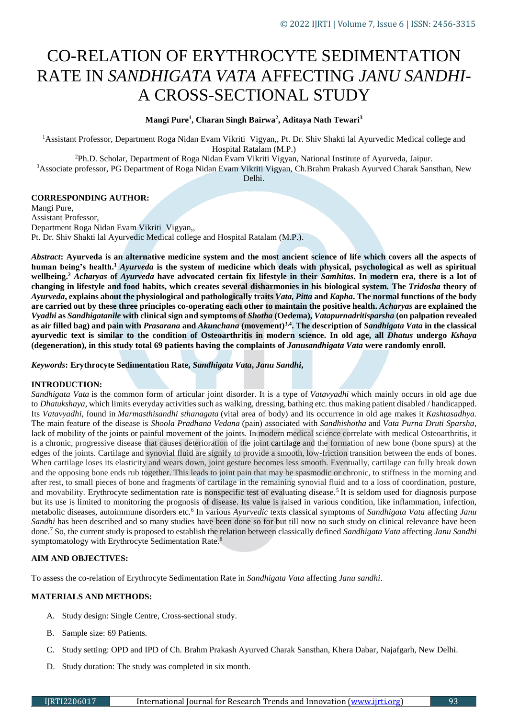# CO-RELATION OF ERYTHROCYTE SEDIMENTATION RATE IN *SANDHIGATA VATA* AFFECTING *JANU SANDHI*-A CROSS-SECTIONAL STUDY

**Mangi Pure<sup>1</sup> , Charan Singh Bairwa<sup>2</sup> , Aditaya Nath Tewari<sup>3</sup>**

<sup>1</sup>Assistant Professor, Department Roga Nidan Evam Vikriti Vigyan,, Pt. Dr. Shiv Shakti lal Ayurvedic Medical college and Hospital Ratalam (M.P.)

<sup>2</sup>Ph.D. Scholar, Department of Roga Nidan Evam Vikriti Vigyan, National Institute of Ayurveda, Jaipur.

<sup>3</sup>Associate professor, PG Department of Roga Nidan Evam Vikriti Vigyan, Ch.Brahm Prakash Ayurved Charak Sansthan, New Delhi.

## **CORRESPONDING AUTHOR:**

Mangi Pure, Assistant Professor, Department Roga Nidan Evam Vikriti Vigyan,, Pt. Dr. Shiv Shakti lal Ayurvedic Medical college and Hospital Ratalam (M.P.).

*Abstract***: Ayurveda is an alternative medicine system and the most ancient science of life which covers all the aspects of human being's health.<sup>1</sup>** *Ayurveda* **is the system of medicine which deals with physical, psychological as well as spiritual wellbeing.<sup>2</sup>** *Acharyas* **of** *Ayurveda* **have advocated certain fix lifestyle in their** *Samhitas***. In modern era, there is a lot of changing in lifestyle and food habits, which creates several disharmonies in his biological system. The** *Tridosha* **theory of**  *Ayurveda***, explains about the physiological and pathologically traits** *Vata, Pitta* **and** *Kapha***. The normal functions of the body are carried out by these three principles co-operating each other to maintain the positive health.** *Acharyas* **are explained the**  *Vyadhi* **as** *Sandhigatanile* **with clinical sign and symptoms of** *Shotha* **(Oedema),** *Vatapurnadritisparsha* **(on palpation revealed as air filled bag) and pain with** *Prasarana* **and** *Akunchana* **(movement)3,4 . The description of** *Sandhigata Vata* **in the classical ayurvedic text is similar to the condition of Osteoarthritis in modern science. In old age, all** *Dhatus* **undergo** *Kshaya* **(degeneration), in this study total 69 patients having the complaints of** *Janusandhigata Vata* **were randomly enroll.**

*Keywords***: Erythrocyte Sedimentation Rate,** *Sandhigata Vata***,** *Janu Sandhi***,** 

#### **INTRODUCTION:**

*Sandhigata Vata* is the common form of articular joint disorder. It is a type of *Vatavyadhi* which mainly occurs in old age due to *Dhatukshaya*, which limits everyday activities such as walking, dressing, bathing etc. thus making patient disabled / handicapped. Its *Vatavyadhi*, found in *Marmasthisandhi sthanagata* (vital area of body) and its occurrence in old age makes it *Kashtasadhya.*  The main feature of the disease is *Shoola Pradhana Vedana* (pain) associated with *Sandhishotha* and *Vata Purna Druti Sparsha*, lack of mobility of the joints or painful movement of the joints. In modern medical science correlate with medical Osteoarthritis, it is a [chronic,](https://labtestsonline.org/glossary/chronic) progressive disease that causes deterioration of the joint [cartilage](https://labtestsonline.org/glossary/cartilage) and the formation of new bone (bone spurs) at the edges of the joints. Cartilage and synovial fluid are signify to provide a smooth, low-friction transition between the ends of bones. When cartilage loses its elasticity and wears down, joint gesture becomes less smooth. Eventually, cartilage can fully break down and the opposing bone ends rub together. This leads to joint pain that may be spasmodic or chronic, to stiffness in the morning and after rest, to small pieces of bone and fragments of cartilage in the remaining synovial fluid and to a loss of coordination, posture, and movability. Erythrocyte sedimentation rate is nonspecific test of evaluating disease.<sup>5</sup> It is seldom used for diagnosis purpose but its use is limited to monitoring the prognosis of disease. Its value is raised in various condition, like inflammation, infection, metabolic diseases, autoimmune disorders etc.<sup>6</sup> In various *Ayurvedic* texts classical symptoms of *Sandhigata Vata* affecting *Janu Sandhi* has been described and so many studies have been done so for but till now no such study on clinical relevance have been done.<sup>7</sup> So, the current study is proposed to establish the relation between classically defined *Sandhigata Vata* affecting *Janu Sandhi* symptomatology with Erythrocyte Sedimentation Rate.<sup>8</sup>

## **AIM AND OBJECTIVES:**

To assess the co-relation of Erythrocyte Sedimentation Rate in *Sandhigata Vata* affecting *Janu sandhi*.

#### **MATERIALS AND METHODS:**

- A. Study design: Single Centre, Cross-sectional study.
- B. Sample size: 69 Patients.
- C. Study setting: OPD and IPD of Ch. Brahm Prakash Ayurved Charak Sansthan, Khera Dabar, Najafgarh, New Delhi.
- D. Study duration: The study was completed in six month.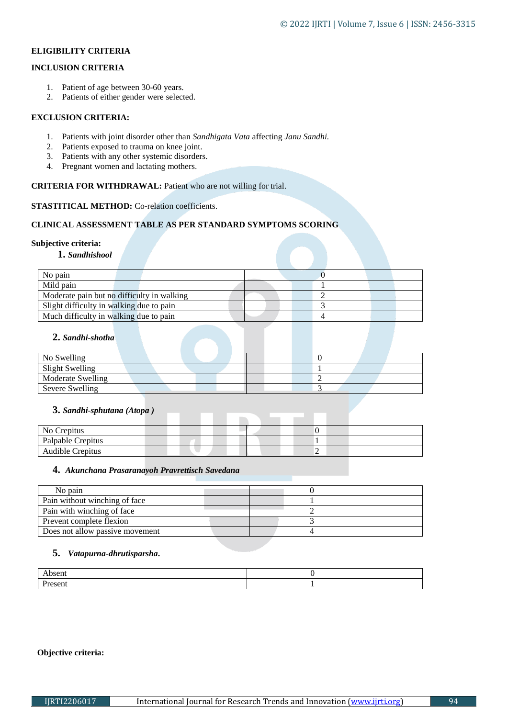# **ELIGIBILITY CRITERIA**

## **INCLUSION CRITERIA**

- 1. Patient of age between 30-60 years.
- 2. Patients of either gender were selected.

## **EXCLUSION CRITERIA:**

- 1. Patients with joint disorder other than *Sandhigata Vata* affecting *Janu Sandhi.*
- 2. Patients exposed to trauma on knee joint.
- 3. Patients with any other systemic disorders.
- 4. Pregnant women and lactating mothers.

## **CRITERIA FOR WITHDRAWAL:** Patient who are not willing for trial.

## **STASTITICAL METHOD:** Co-relation coefficients.

## **CLINICAL ASSESSMENT TABLE AS PER STANDARD SYMPTOMS SCORING**

## **Subjective criteria:**

**1.** *Sandhishool*

| No pain                                    |  |
|--------------------------------------------|--|
| Mild pain                                  |  |
| Moderate pain but no difficulty in walking |  |
| Slight difficulty in walking due to pain   |  |
| Much difficulty in walking due to pain     |  |

## **2.** *Sandhi***-***shotha*

| No Swelling       |  |  |  |  |  |  |
|-------------------|--|--|--|--|--|--|
| Slight Swelling   |  |  |  |  |  |  |
| Moderate Swelling |  |  |  |  |  |  |
| Severe Swelling   |  |  |  |  |  |  |

## **3.** *Sandhi***-***sphutana (Atopa )*

| No Crepitus       |  |  |  |  |  |   |  |
|-------------------|--|--|--|--|--|---|--|
| Palpable Crepitus |  |  |  |  |  |   |  |
| Audible Crepitus  |  |  |  |  |  | ∼ |  |

## **4.** *Akunchana Prasaranayoh Pravrettisch Savedana*

| No pain                         |  |
|---------------------------------|--|
| Pain without winching of face   |  |
| Pain with winching of face      |  |
| Prevent complete flexion        |  |
| Does not allow passive movement |  |

# **5.** *Vatapurna***-***dhrutisparsha***.**

| $-$ - $\sim$ $\sim$<br>AUSCHI |  |
|-------------------------------|--|
| .<br>esein<br>$-1$            |  |

## **Objective criteria:**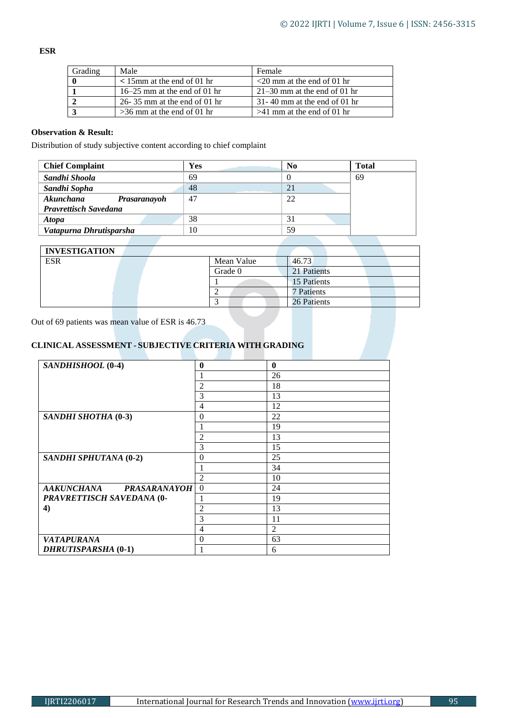**ESR**

| Grading | Male                             | Female                           |
|---------|----------------------------------|----------------------------------|
|         | $\leq 15$ mm at the end of 01 hr | $\leq$ 20 mm at the end of 01 hr |
|         | $16-25$ mm at the end of 01 hr   | $21-30$ mm at the end of 01 hr   |
|         | 26-35 mm at the end of 01 hr     | $31-40$ mm at the end of 01 hr   |
|         | $>36$ mm at the end of 01 hr     | $>41$ mm at the end of 01 hr     |

## **Observation & Result:**

Distribution of study subjective content according to chief complaint

| <b>Chief Complaint</b>       | Yes | N <sub>0</sub> | <b>Total</b> |
|------------------------------|-----|----------------|--------------|
| Sandhi Shoola                | 69  |                | 69           |
| Sandhi Sopha                 | 48  | 21             |              |
| Akunchana<br>Prasaranayoh    | 47  | 22             |              |
| <b>Pravrettisch Savedana</b> |     |                |              |
| <b>Atopa</b>                 | 38  | 31             |              |
| Vatapurna Dhrutisparsha      | 10  | 59             |              |

| <b>INVESTIGATION</b> |  |            |             |
|----------------------|--|------------|-------------|
| <b>ESR</b>           |  | Mean Value | 46.73       |
|                      |  | Grade 0    | 21 Patients |
|                      |  |            | 15 Patients |
|                      |  |            | 7 Patients  |
|                      |  |            | 26 Patients |

Out of 69 patients was mean value of ESR is 46.73

# **CLINICAL ASSESSMENT - SUBJECTIVE CRITERIA WITH GRADING**

| SANDHISHOOL (0-4)                        | $\bf{0}$         | 0              |
|------------------------------------------|------------------|----------------|
|                                          |                  | 26             |
|                                          | $\overline{2}$   | 18             |
|                                          | 3                | 13             |
|                                          | 4                | 12             |
| SANDHI SHOTHA (0-3)                      | $\overline{0}$   | 22             |
|                                          |                  | 19             |
|                                          | $\overline{2}$   | 13             |
|                                          | 3                | 15             |
| SANDHI SPHUTANA (0-2)                    | $\overline{0}$   | 25             |
|                                          | 1                | 34             |
|                                          | $\overline{2}$   | 10             |
| <b>AAKUNCHANA</b><br><b>PRASARANAYOH</b> | $\boldsymbol{0}$ | 24             |
| PRAVRETTISCH SAVEDANA (0-                | 1                | 19             |
| 4)                                       | 2                | 13             |
|                                          | 3                | 11             |
|                                          | $\overline{4}$   | $\overline{2}$ |
| <b>VATAPURANA</b>                        | $\theta$         | 63             |
| <b>DHRUTISPARSHA (0-1)</b>               |                  | 6              |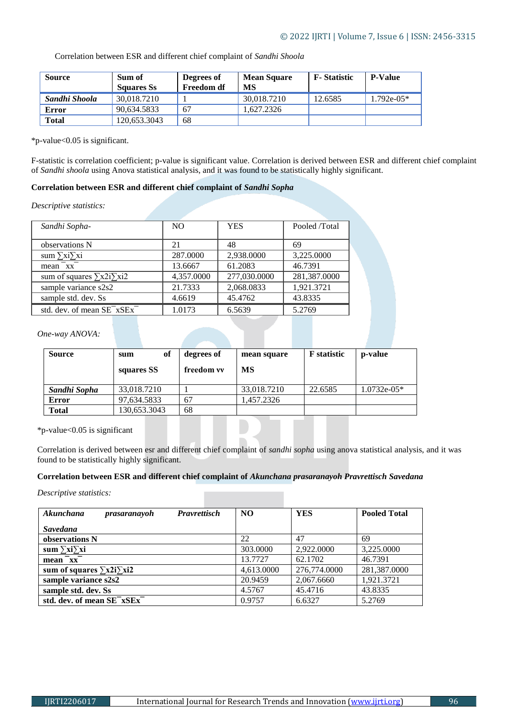Correlation between ESR and different chief complaint of *Sandhi Shoola*

| <b>Source</b> | Sum of<br><b>Squares Ss</b> | Degrees of<br><b>Freedom df</b> | <b>Mean Square</b><br>MS | <b>F</b> -Statistic | <b>P-Value</b> |
|---------------|-----------------------------|---------------------------------|--------------------------|---------------------|----------------|
| Sandhi Shoola | 30.018.7210                 |                                 | 30.018.7210              | 12.6585             | $1.792e-05*$   |
| <b>Error</b>  | 90.634.5833                 | 67                              | 1.627.2326               |                     |                |
| <b>Total</b>  | 120.653.3043                | 68                              |                          |                     |                |

\*p-value<0.05 is significant.

F-statistic is correlation coefficient; p-value is significant value. Correlation is derived between ESR and different chief complaint of *Sandhi shoola* using Anova statistical analysis, and it was found to be statistically highly significant.

## **Correlation between ESR and different chief complaint of** *Sandhi Sopha*

*Descriptive statistics:*

| Sandhi Sopha-                                     | N <sub>O</sub> | <b>YES</b>   | Pooled /Total |
|---------------------------------------------------|----------------|--------------|---------------|
|                                                   |                |              |               |
| observations N                                    | 21             | 48           | 69            |
| sum $\sum x_i \sum x_i$                           | 287.0000       | 2,938.0000   | 3.225.0000    |
| $mean$ <sup><math>-xx</math></sup> $-$            | 13.6667        | 61.2083      | 46.7391       |
| sum of squares $\sum x2i\sum xi2$                 | 4,357.0000     | 277,030.0000 | 281,387.0000  |
| sample variance s2s2                              | 21.7333        | 2,068.0833   | 1,921.3721    |
| sample std. dev. Ss                               | 4.6619         | 45.4762      | 43.8335       |
| std. dev. of mean SE <sup>-xSEx<sup>-</sup></sup> | 1.0173         | 6.5639       | 5.2769        |

*One-way ANOVA:*

| <b>Source</b> | of<br>sum<br>squares SS | degrees of<br>freedom vv | mean square<br>MS | <b>F</b> statistic | p-value       |
|---------------|-------------------------|--------------------------|-------------------|--------------------|---------------|
| Sandhi Sopha  | 33,018.7210             |                          | 33,018.7210       | 22.6585            | $1.0732e-05*$ |
| Error         | 97,634.5833             | 67                       | ,457.2326         |                    |               |
| <b>Total</b>  | 130,653.3043            | 68                       |                   |                    |               |

\*p-value<0.05 is significant

Correlation is derived between esr and different chief complaint of *sandhi sopha* using anova statistical analysis, and it was found to be statistically highly significant.

## **Correlation between ESR and different chief complaint of** *Akunchana prasaranayoh Pravrettisch Savedana*

*Descriptive statistics:*

| Akunchana<br>prasaranayoh              | <b>Pravrettisch</b> | NO <sub>1</sub> | YES          | <b>Pooled Total</b> |
|----------------------------------------|---------------------|-----------------|--------------|---------------------|
| <b>Savedana</b>                        |                     |                 |              |                     |
| observations N                         |                     | 22              | 47           | 69                  |
| sum $\sum x_i \sum x_i$                |                     | 303,0000        | 2.922.0000   | 3.225.0000          |
| mean xx                                |                     | 13.7727         | 62.1702      | 46.7391             |
| sum of squares $\sum x2i\sum xi2$      |                     | 4,613.0000      | 276,774.0000 | 281,387.0000        |
| sample variance s2s2                   |                     | 20.9459         | 2,067.6660   | 1,921.3721          |
| sample std. dev. Ss                    |                     | 4.5767          | 45.4716      | 43.8335             |
| std. dev. of mean SE <sup>-xSEx-</sup> |                     | 0.9757          | 6.6327       | 5.2769              |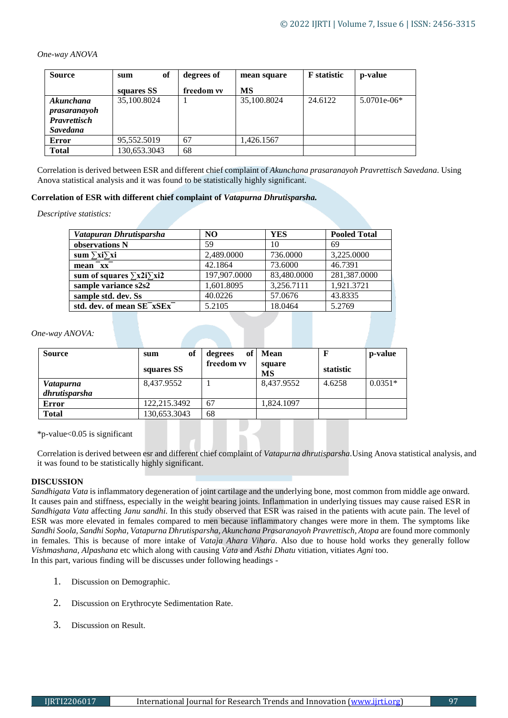*One-way ANOVA*

| <b>Source</b>       | of<br>sum    | degrees of | mean square | <b>F</b> statistic | p-value       |
|---------------------|--------------|------------|-------------|--------------------|---------------|
|                     | squares SS   | freedom vv | MS          |                    |               |
| Akunchana           | 35,100.8024  |            | 35,100.8024 | 24.6122            | $5.0701e-06*$ |
| prasaranayoh        |              |            |             |                    |               |
| <b>Pravrettisch</b> |              |            |             |                    |               |
| <b>Savedana</b>     |              |            |             |                    |               |
| Error               | 95,552.5019  | 67         | 1.426.1567  |                    |               |
| <b>Total</b>        | 130,653.3043 | 68         |             |                    |               |

Correlation is derived between ESR and different chief complaint of *Akunchana prasaranayoh Pravrettisch Savedana.* Using Anova statistical analysis and it was found to be statistically highly significant.

### **Correlation of ESR with different chief complaint of** *Vatapurna Dhrutisparsha.*

*Descriptive statistics:*

| Vatapuran Dhrutisparsha                           | N <sub>O</sub> | <b>YES</b>  | <b>Pooled Total</b> |
|---------------------------------------------------|----------------|-------------|---------------------|
| observations N                                    | 59             | 10          | 69                  |
| sum $\sum x_i \sum x_i$                           | 2,489.0000     | 736.0000    | 3,225.0000          |
| $mean$ <sup><math>-xx</math></sup>                | 42.1864        | 73.6000     | 46.7391             |
| sum of squares $\sum x^2 i \sum x^2 i$            | 197,907.0000   | 83,480.0000 | 281,387.0000        |
| sample variance s2s2                              | 1,601.8095     | 3,256.7111  | 1,921.3721          |
| sample std. dev. Ss                               | 40.0226        | 57.0676     | 43.8335             |
| std. dev. of mean SE <sup>-xSEx<sup>-</sup></sup> | 5.2105         | 18.0464     | 5.2769              |

#### *One-way ANOVA:*

| <b>Source</b>    | of<br>sum    | of<br>degrees | Mean                |           | p-value   |
|------------------|--------------|---------------|---------------------|-----------|-----------|
|                  | squares SS   | freedom vv    | square<br><b>MS</b> | statistic |           |
| <i>Vatapurna</i> | 8,437.9552   |               | 8,437.9552          | 4.6258    | $0.0351*$ |
| dhrutisparsha    |              |               |                     |           |           |
| <b>Error</b>     | 122.215.3492 | 67            | 1,824.1097          |           |           |
| <b>Total</b>     | 130,653.3043 | 68            |                     |           |           |
|                  |              |               |                     |           |           |

\*p-value<0.05 is significant

Correlation is derived between esr and different chief complaint of *Vatapurna dhrutisparsha.*Using Anova statistical analysis, and it was found to be statistically highly significant.

## **DISCUSSION**

*Sandhigata Vata* is inflammatory degeneration of joint cartilage and the underlying bone, most common from middle age onward. It causes pain and stiffness, especially in the weight bearing joints. Inflammation in underlying tissues may cause raised ESR in *Sandhigata Vata* affecting *Janu sandhi.* In this study observed that ESR was raised in the patients with acute pain. The level of ESR was more elevated in females compared to men because inflammatory changes were more in them. The symptoms like *Sandhi Soola, Sandhi Sopha, Vatapurna Dhrutisparsha, Akunchana Prasaranayoh Pravrettisch, Atopa* are found more commonly in females. This is because of more intake of *Vataja Ahara Vihara*. Also due to house hold works they generally follow *Vishmashana, Alpashana* etc which along with causing *Vata* and *Asthi Dhatu* vitiation, vitiates *Agni* too. In this part, various finding will be discusses under following headings -

- 1. Discussion on Demographic.
- 2. Discussion on Erythrocyte Sedimentation Rate.
- 3. Discussion on Result.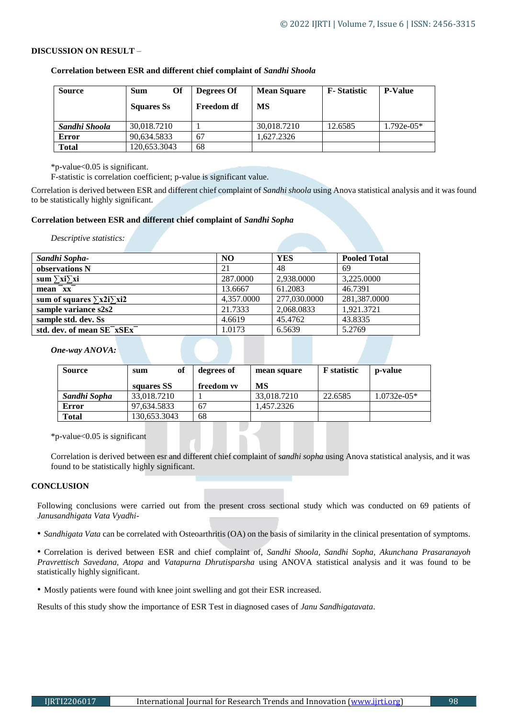## **DISCUSSION ON RESULT** –

| <b>Source</b> | Of<br>Sum<br><b>Squares Ss</b> | Degrees Of<br><b>Freedom df</b> | <b>Mean Square</b><br>MS | <b>F</b> -Statistic | <b>P-Value</b> |
|---------------|--------------------------------|---------------------------------|--------------------------|---------------------|----------------|
| Sandhi Shoola | 30,018.7210                    |                                 | 30,018.7210              | 12.6585             | $1.792e-05*$   |
| Error         | 90,634.5833                    | 67                              | .627.2326                |                     |                |
| <b>Total</b>  | 120,653.3043                   | 68                              |                          |                     |                |

**Correlation between ESR and different chief complaint of** *Sandhi Shoola*

\*p-value<0.05 is significant.

F-statistic is correlation coefficient; p-value is significant value.

Correlation is derived between ESR and different chief complaint of *Sandhi shoola* using Anova statistical analysis and it was found to be statistically highly significant.

## **Correlation between ESR and different chief complaint of** *Sandhi Sopha*

*Descriptive statistics:*

| Sandhi Sopha-                                     | NO.        | <b>YES</b>   | <b>Pooled Total</b> |
|---------------------------------------------------|------------|--------------|---------------------|
| observations N                                    | 21         | 48           | 69                  |
| sum $\sum x_i \sum x_i$                           | 287.0000   | 2.938.0000   | 3.225.0000          |
| mean $\bar{X}$                                    | 13.6667    | 61.2083      | 46.7391             |
| sum of squares $\sum x^2 i \sum x^2 i$            | 4,357.0000 | 277,030.0000 | 281,387.0000        |
| sample variance s2s2                              | 21.7333    | 2,068.0833   | 1,921.3721          |
| sample std. dev. Ss                               | 4.6619     | 45.4762      | 43.8335             |
| std. dev. of mean SE <sup>-xSEx<sup>-</sup></sup> | 1.0173     | 6.5639       | 5.2769              |
|                                                   |            |              |                     |

*One-way ANOVA:*

| <b>Source</b> | of<br>sum    | degrees of | mean square | <b>F</b> statistic | p-value       |
|---------------|--------------|------------|-------------|--------------------|---------------|
|               | squares SS   | freedom vv | MS          |                    |               |
| Sandhi Sopha  | 33,018.7210  |            | 33,018.7210 | 22.6585            | $1.0732e-05*$ |
| Error         | 97.634.5833  | 67         | 1.457.2326  |                    |               |
| <b>Total</b>  | 130,653.3043 | 68         |             |                    |               |

\*p-value<0.05 is significant

Correlation is derived between esr and different chief complaint of *sandhi sopha* using Anova statistical analysis, and it was found to be statistically highly significant.

## **CONCLUSION**

Following conclusions were carried out from the present cross sectional study which was conducted on 69 patients of *Janusandhigata Vata Vyadhi*-

• *Sandhigata Vata* can be correlated with Osteoarthritis (OA) on the basis of similarity in the clinical presentation of symptoms.

• Correlation is derived between ESR and chief complaint of, *Sandhi Shoola, Sandhi Sopha, Akunchana Prasaranayoh Pravrettisch Savedana, Atopa* and *Vatapurna Dhrutisparsha* using ANOVA statistical analysis and it was found to be statistically highly significant.

• Mostly patients were found with knee joint swelling and got their ESR increased.

Results of this study show the importance of ESR Test in diagnosed cases of *Janu Sandhigatavata*.